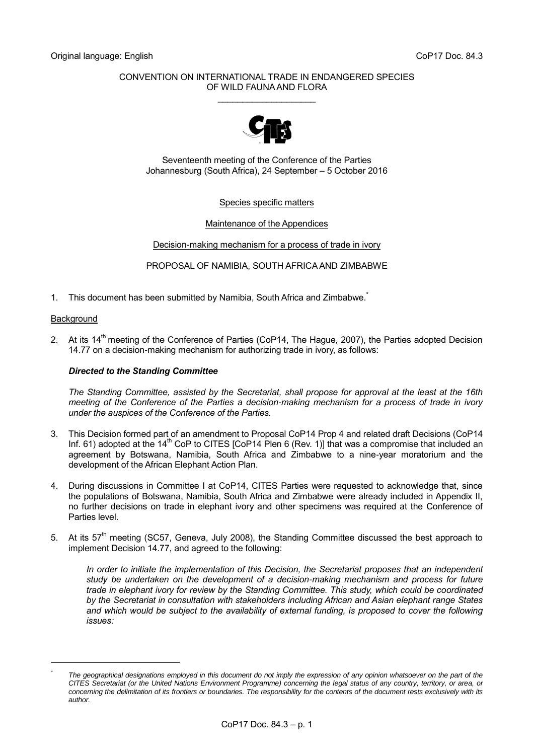## CONVENTION ON INTERNATIONAL TRADE IN ENDANGERED SPECIES OF WILD FAUNA AND FLORA \_\_\_\_\_\_\_\_\_\_\_\_\_\_\_\_\_\_\_\_



Seventeenth meeting of the Conference of the Parties Johannesburg (South Africa), 24 September – 5 October 2016

## Species specific matters

## Maintenance of the Appendices

## Decision-making mechanism for a process of trade in ivory

PROPOSAL OF NAMIBIA, SOUTH AFRICA AND ZIMBABWE

1. This document has been submitted by Namibia, South Africa and Zimbabwe.

#### **Background**

-*\**

2. At its 14<sup>th</sup> meeting of the Conference of Parties (CoP14, The Hague, 2007), the Parties adopted Decision 14.77 on a decision-making mechanism for authorizing trade in ivory, as follows:

## *Directed to the Standing Committee*

*The Standing Committee, assisted by the Secretariat, shall propose for approval at the least at the 16th meeting of the Conference of the Parties a decision-making mechanism for a process of trade in ivory under the auspices of the Conference of the Parties.*

- 3. This Decision formed part of an amendment to Proposal CoP14 Prop 4 and related draft Decisions (CoP14 Inf. 61) adopted at the  $14<sup>th</sup>$  CoP to CITES [CoP14 Plen 6 (Rev. 1)] that was a compromise that included an agreement by Botswana, Namibia, South Africa and Zimbabwe to a nine-year moratorium and the development of the African Elephant Action Plan.
- 4. During discussions in Committee I at CoP14, CITES Parties were requested to acknowledge that, since the populations of Botswana, Namibia, South Africa and Zimbabwe were already included in Appendix II, no further decisions on trade in elephant ivory and other specimens was required at the Conference of Parties level.
- 5. At its  $57<sup>th</sup>$  meeting (SC57, Geneva, July 2008), the Standing Committee discussed the best approach to implement Decision 14.77, and agreed to the following:

*In order to initiate the implementation of this Decision, the Secretariat proposes that an independent study be undertaken on the development of a decision-making mechanism and process for future trade in elephant ivory for review by the Standing Committee. This study, which could be coordinated by the Secretariat in consultation with stakeholders including African and Asian elephant range States and which would be subject to the availability of external funding, is proposed to cover the following issues:*

*The geographical designations employed in this document do not imply the expression of any opinion whatsoever on the part of the CITES Secretariat (or the United Nations Environment Programme) concerning the legal status of any country, territory, or area, or concerning the delimitation of its frontiers or boundaries. The responsibility for the contents of the document rests exclusively with its author.*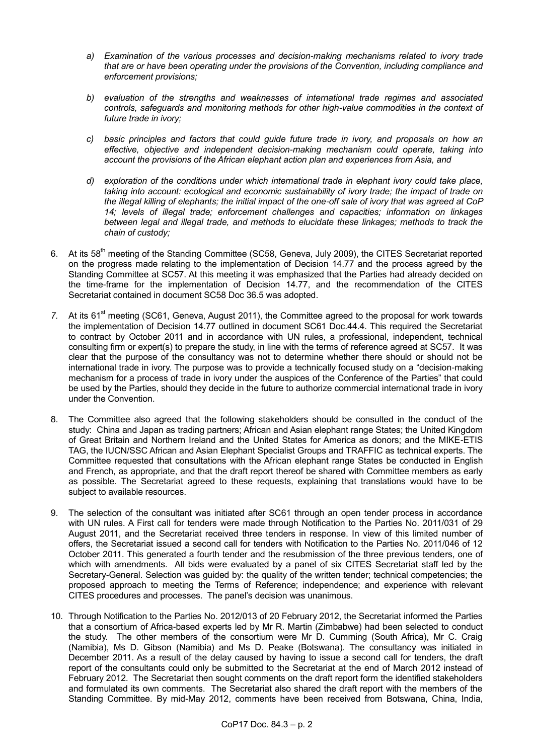- *a) Examination of the various processes and decision-making mechanisms related to ivory trade that are or have been operating under the provisions of the Convention, including compliance and enforcement provisions;*
- *b) evaluation of the strengths and weaknesses of international trade regimes and associated controls, safeguards and monitoring methods for other high-value commodities in the context of future trade in ivory;*
- *c) basic principles and factors that could guide future trade in ivory, and proposals on how an effective, objective and independent decision-making mechanism could operate, taking into account the provisions of the African elephant action plan and experiences from Asia, and*
- *d) exploration of the conditions under which international trade in elephant ivory could take place, taking into account: ecological and economic sustainability of ivory trade; the impact of trade on the illegal killing of elephants; the initial impact of the one-off sale of ivory that was agreed at CoP 14; levels of illegal trade; enforcement challenges and capacities; information on linkages between legal and illegal trade, and methods to elucidate these linkages; methods to track the chain of custody;*
- 6. At its 58<sup>th</sup> meeting of the Standing Committee (SC58, Geneva, July 2009), the CITES Secretariat reported on the progress made relating to the implementation of Decision 14.77 and the process agreed by the Standing Committee at SC57. At this meeting it was emphasized that the Parties had already decided on the time-frame for the implementation of Decision 14.77, and the recommendation of the CITES Secretariat contained in document SC58 Doc 36.5 was adopted.
- 7. At its 61<sup>st</sup> meeting (SC61, Geneva, August 2011), the Committee agreed to the proposal for work towards the implementation of Decision 14.77 outlined in document SC61 Doc.44.4. This required the Secretariat to contract by October 2011 and in accordance with UN rules, a professional, independent, technical consulting firm or expert(s) to prepare the study, in line with the terms of reference agreed at SC57. It was clear that the purpose of the consultancy was not to determine whether there should or should not be international trade in ivory. The purpose was to provide a technically focused study on a "decision-making mechanism for a process of trade in ivory under the auspices of the Conference of the Parties" that could be used by the Parties, should they decide in the future to authorize commercial international trade in ivory under the Convention.
- 8. The Committee also agreed that the following stakeholders should be consulted in the conduct of the study: China and Japan as trading partners; African and Asian elephant range States; the United Kingdom of Great Britain and Northern Ireland and the United States for America as donors; and the MIKE-ETIS TAG, the IUCN/SSC African and Asian Elephant Specialist Groups and TRAFFIC as technical experts. The Committee requested that consultations with the African elephant range States be conducted in English and French, as appropriate, and that the draft report thereof be shared with Committee members as early as possible. The Secretariat agreed to these requests, explaining that translations would have to be subject to available resources.
- 9. The selection of the consultant was initiated after SC61 through an open tender process in accordance with UN rules. A First call for tenders were made through Notification to the Parties No. 2011/031 of 29 August 2011, and the Secretariat received three tenders in response. In view of this limited number of offers, the Secretariat issued a second call for tenders with Notification to the Parties No. 2011/046 of 12 October 2011. This generated a fourth tender and the resubmission of the three previous tenders, one of which with amendments. All bids were evaluated by a panel of six CITES Secretariat staff led by the Secretary-General. Selection was guided by: the quality of the written tender; technical competencies; the proposed approach to meeting the Terms of Reference; independence; and experience with relevant CITES procedures and processes. The panel's decision was unanimous.
- 10. Through Notification to the Parties No. 2012/013 of 20 February 2012, the Secretariat informed the Parties that a consortium of Africa-based experts led by Mr R. Martin (Zimbabwe) had been selected to conduct the study. The other members of the consortium were Mr D. Cumming (South Africa), Mr C. Craig (Namibia), Ms D. Gibson (Namibia) and Ms D. Peake (Botswana). The consultancy was initiated in December 2011. As a result of the delay caused by having to issue a second call for tenders, the draft report of the consultants could only be submitted to the Secretariat at the end of March 2012 instead of February 2012. The Secretariat then sought comments on the draft report form the identified stakeholders and formulated its own comments. The Secretariat also shared the draft report with the members of the Standing Committee. By mid-May 2012, comments have been received from Botswana, China, India,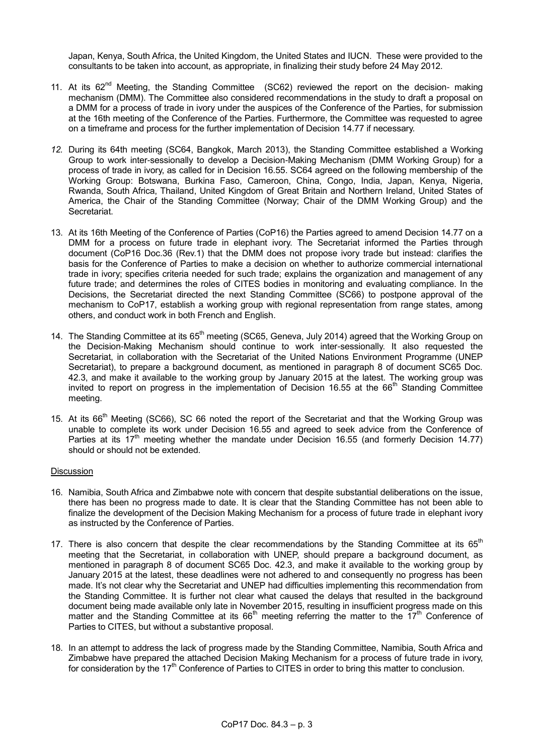Japan, Kenya, South Africa, the United Kingdom, the United States and IUCN. These were provided to the consultants to be taken into account, as appropriate, in finalizing their study before 24 May 2012.

- 11. At its 62<sup>nd</sup> Meeting, the Standing Committee (SC62) reviewed the report on the decision- making mechanism (DMM). The Committee also considered recommendations in the study to draft a proposal on a DMM for a process of trade in ivory under the auspices of the Conference of the Parties, for submission at the 16th meeting of the Conference of the Parties. Furthermore, the Committee was requested to agree on a timeframe and process for the further implementation of Decision 14.77 if necessary.
- *12.* During its 64th meeting (SC64, Bangkok, March 2013), the Standing Committee established a Working Group to work inter-sessionally to develop a Decision-Making Mechanism (DMM Working Group) for a process of trade in ivory, as called for in Decision 16.55. SC64 agreed on the following membership of the Working Group: Botswana, Burkina Faso, Cameroon, China, Congo, India, Japan, Kenya, Nigeria, Rwanda, South Africa, Thailand, United Kingdom of Great Britain and Northern Ireland, United States of America, the Chair of the Standing Committee (Norway; Chair of the DMM Working Group) and the Secretariat.
- 13. At its 16th Meeting of the Conference of Parties (CoP16) the Parties agreed to amend Decision 14.77 on a DMM for a process on future trade in elephant ivory. The Secretariat informed the Parties through document (CoP16 Doc.36 (Rev.1) that the DMM does not propose ivory trade but instead: clarifies the basis for the Conference of Parties to make a decision on whether to authorize commercial international trade in ivory; specifies criteria needed for such trade; explains the organization and management of any future trade; and determines the roles of CITES bodies in monitoring and evaluating compliance. In the Decisions, the Secretariat directed the next Standing Committee (SC66) to postpone approval of the mechanism to CoP17, establish a working group with regional representation from range states, among others, and conduct work in both French and English.
- 14. The Standing Committee at its 65<sup>th</sup> meeting (SC65, Geneva, July 2014) agreed that the Working Group on the Decision-Making Mechanism should continue to work inter-sessionally. It also requested the Secretariat, in collaboration with the Secretariat of the United Nations Environment Programme (UNEP Secretariat), to prepare a background document, as mentioned in paragraph 8 of document SC65 Doc. 42.3, and make it available to the working group by January 2015 at the latest. The working group was invited to report on progress in the implementation of Decision 16.55 at the 66<sup>th</sup> Standing Committee meeting.
- 15. At its 66<sup>th</sup> Meeting (SC66), SC 66 noted the report of the Secretariat and that the Working Group was unable to complete its work under Decision 16.55 and agreed to seek advice from the Conference of Parties at its  $17<sup>th</sup>$  meeting whether the mandate under Decision 16.55 (and formerly Decision 14.77) should or should not be extended.

### Discussion

- 16. Namibia, South Africa and Zimbabwe note with concern that despite substantial deliberations on the issue, there has been no progress made to date. It is clear that the Standing Committee has not been able to finalize the development of the Decision Making Mechanism for a process of future trade in elephant ivory as instructed by the Conference of Parties.
- 17. There is also concern that despite the clear recommendations by the Standing Committee at its  $65<sup>th</sup>$ meeting that the Secretariat, in collaboration with UNEP, should prepare a background document, as mentioned in paragraph 8 of document SC65 Doc. 42.3, and make it available to the working group by January 2015 at the latest, these deadlines were not adhered to and consequently no progress has been made. It's not clear why the Secretariat and UNEP had difficulties implementing this recommendation from the Standing Committee. It is further not clear what caused the delays that resulted in the background document being made available only late in November 2015, resulting in insufficient progress made on this matter and the Standing Committee at its  $66<sup>th</sup>$  meeting referring the matter to the  $17<sup>th</sup>$  Conference of Parties to CITES, but without a substantive proposal.
- 18. In an attempt to address the lack of progress made by the Standing Committee, Namibia, South Africa and Zimbabwe have prepared the attached Decision Making Mechanism for a process of future trade in ivory, for consideration by the 17<sup>th</sup> Conference of Parties to CITES in order to bring this matter to conclusion.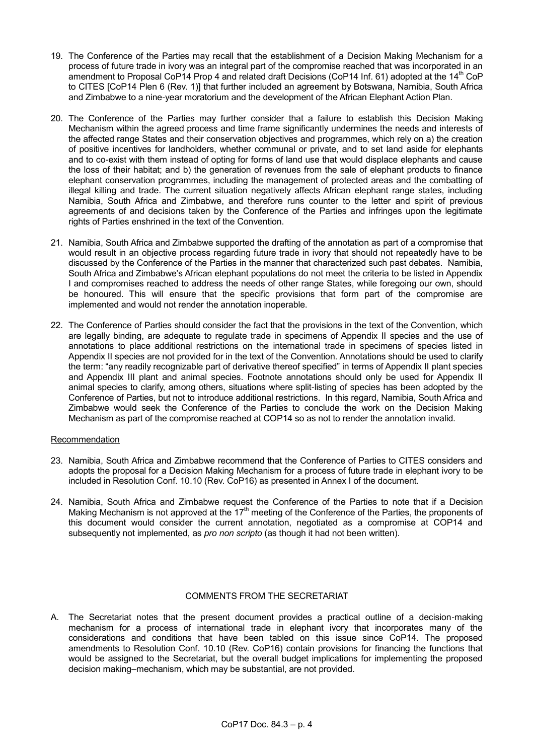- 19. The Conference of the Parties may recall that the establishment of a Decision Making Mechanism for a process of future trade in ivory was an integral part of the compromise reached that was incorporated in an amendment to Proposal CoP14 Prop 4 and related draft Decisions (CoP14 Inf. 61) adopted at the 14<sup>th</sup> CoP to CITES [CoP14 Plen 6 (Rev. 1)] that further included an agreement by Botswana, Namibia, South Africa and Zimbabwe to a nine-year moratorium and the development of the African Elephant Action Plan.
- 20. The Conference of the Parties may further consider that a failure to establish this Decision Making Mechanism within the agreed process and time frame significantly undermines the needs and interests of the affected range States and their conservation objectives and programmes, which rely on a) the creation of positive incentives for landholders, whether communal or private, and to set land aside for elephants and to co-exist with them instead of opting for forms of land use that would displace elephants and cause the loss of their habitat; and b) the generation of revenues from the sale of elephant products to finance elephant conservation programmes, including the management of protected areas and the combatting of illegal killing and trade. The current situation negatively affects African elephant range states, including Namibia, South Africa and Zimbabwe, and therefore runs counter to the letter and spirit of previous agreements of and decisions taken by the Conference of the Parties and infringes upon the legitimate rights of Parties enshrined in the text of the Convention.
- 21. Namibia, South Africa and Zimbabwe supported the drafting of the annotation as part of a compromise that would result in an objective process regarding future trade in ivory that should not repeatedly have to be discussed by the Conference of the Parties in the manner that characterized such past debates. Namibia, South Africa and Zimbabwe's African elephant populations do not meet the criteria to be listed in Appendix I and compromises reached to address the needs of other range States, while foregoing our own, should be honoured. This will ensure that the specific provisions that form part of the compromise are implemented and would not render the annotation inoperable.
- 22. The Conference of Parties should consider the fact that the provisions in the text of the Convention, which are legally binding, are adequate to regulate trade in specimens of Appendix II species and the use of annotations to place additional restrictions on the international trade in specimens of species listed in Appendix II species are not provided for in the text of the Convention. Annotations should be used to clarify the term: "any readily recognizable part of derivative thereof specified" in terms of Appendix II plant species and Appendix III plant and animal species. Footnote annotations should only be used for Appendix II animal species to clarify, among others, situations where split-listing of species has been adopted by the Conference of Parties, but not to introduce additional restrictions. In this regard, Namibia, South Africa and Zimbabwe would seek the Conference of the Parties to conclude the work on the Decision Making Mechanism as part of the compromise reached at COP14 so as not to render the annotation invalid.

# Recommendation

- 23. Namibia, South Africa and Zimbabwe recommend that the Conference of Parties to CITES considers and adopts the proposal for a Decision Making Mechanism for a process of future trade in elephant ivory to be included in Resolution Conf. 10.10 (Rev. CoP16) as presented in Annex I of the document.
- 24. Namibia, South Africa and Zimbabwe request the Conference of the Parties to note that if a Decision Making Mechanism is not approved at the 17<sup>th</sup> meeting of the Conference of the Parties, the proponents of this document would consider the current annotation, negotiated as a compromise at COP14 and subsequently not implemented, as *pro non scripto* (as though it had not been written).

## COMMENTS FROM THE SECRETARIAT

A. The Secretariat notes that the present document provides a practical outline of a decision-making mechanism for a process of international trade in elephant ivory that incorporates many of the considerations and conditions that have been tabled on this issue since CoP14. The proposed amendments to Resolution Conf. 10.10 (Rev. CoP16) contain provisions for financing the functions that would be assigned to the Secretariat, but the overall budget implications for implementing the proposed decision making–mechanism, which may be substantial, are not provided.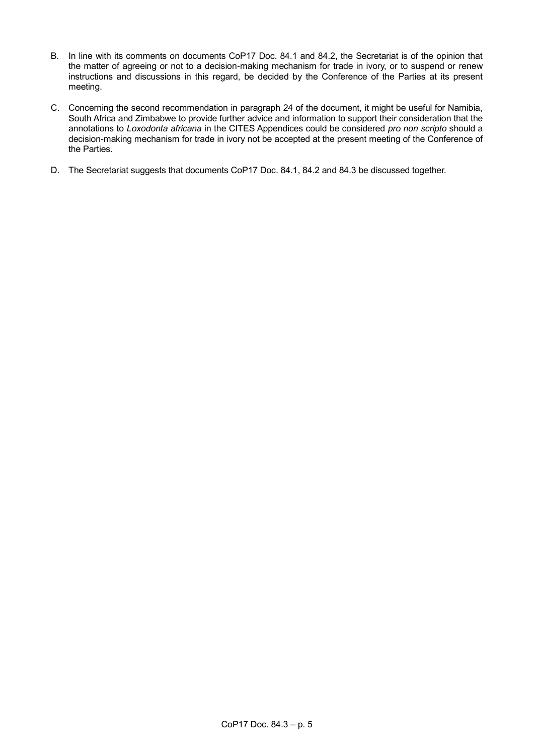- B. In line with its comments on documents CoP17 Doc. 84.1 and 84.2, the Secretariat is of the opinion that the matter of agreeing or not to a decision-making mechanism for trade in ivory, or to suspend or renew instructions and discussions in this regard, be decided by the Conference of the Parties at its present meeting.
- C. Concerning the second recommendation in paragraph 24 of the document, it might be useful for Namibia, South Africa and Zimbabwe to provide further advice and information to support their consideration that the annotations to *Loxodonta africana* in the CITES Appendices could be considered *pro non scripto* should a decision-making mechanism for trade in ivory not be accepted at the present meeting of the Conference of the Parties.
- D. The Secretariat suggests that documents CoP17 Doc. 84.1, 84.2 and 84.3 be discussed together.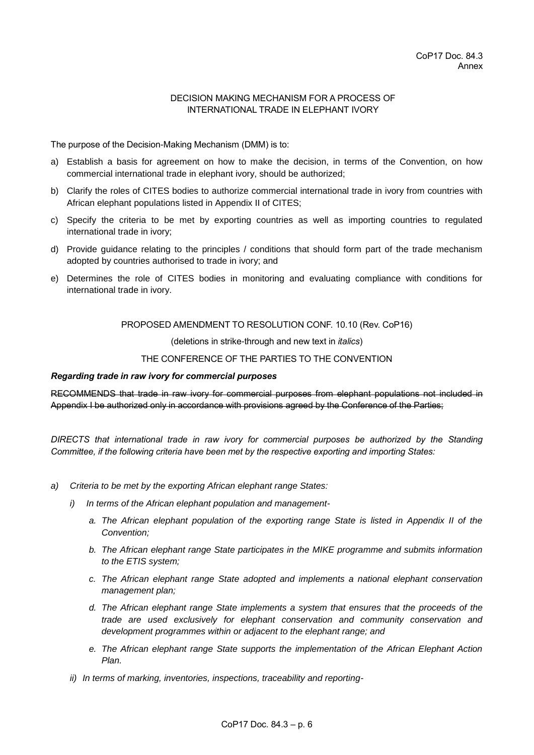## DECISION MAKING MECHANISM FOR A PROCESS OF INTERNATIONAL TRADE IN ELEPHANT IVORY

The purpose of the Decision-Making Mechanism (DMM) is to:

- a) Establish a basis for agreement on how to make the decision, in terms of the Convention, on how commercial international trade in elephant ivory, should be authorized;
- b) Clarify the roles of CITES bodies to authorize commercial international trade in ivory from countries with African elephant populations listed in Appendix II of CITES;
- c) Specify the criteria to be met by exporting countries as well as importing countries to regulated international trade in ivory;
- d) Provide guidance relating to the principles / conditions that should form part of the trade mechanism adopted by countries authorised to trade in ivory; and
- e) Determines the role of CITES bodies in monitoring and evaluating compliance with conditions for international trade in ivory.

PROPOSED AMENDMENT TO RESOLUTION CONF. 10.10 (Rev. CoP16)

(deletions in strike-through and new text in *italics*)

### THE CONFERENCE OF THE PARTIES TO THE CONVENTION

#### *Regarding trade in raw ivory for commercial purposes*

RECOMMENDS that trade in raw ivory for commercial purposes from elephant populations not included in Appendix I be authorized only in accordance with provisions agreed by the Conference of the Parties;

*DIRECTS that international trade in raw ivory for commercial purposes be authorized by the Standing Committee, if the following criteria have been met by the respective exporting and importing States:*

- *a) Criteria to be met by the exporting African elephant range States:*
	- *i) In terms of the African elephant population and management*
		- *a. The African elephant population of the exporting range State is listed in Appendix II of the Convention;*
		- *b. The African elephant range State participates in the MIKE programme and submits information to the ETIS system;*
		- *c. The African elephant range State adopted and implements a national elephant conservation management plan;*
		- *d. The African elephant range State implements a system that ensures that the proceeds of the trade are used exclusively for elephant conservation and community conservation and development programmes within or adjacent to the elephant range; and*
		- *e. The African elephant range State supports the implementation of the African Elephant Action Plan.*
	- *ii) In terms of marking, inventories, inspections, traceability and reporting-*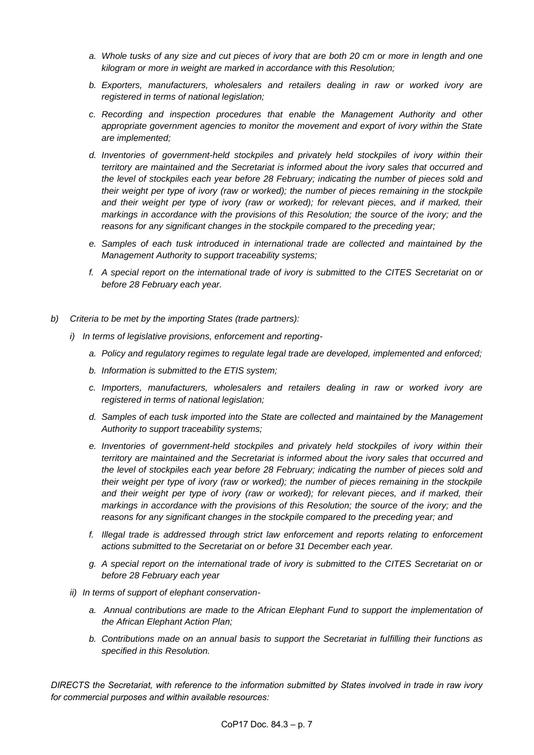- *a. Whole tusks of any size and cut pieces of ivory that are both 20 cm or more in length and one kilogram or more in weight are marked in accordance with this Resolution;*
- *b. Exporters, manufacturers, wholesalers and retailers dealing in raw or worked ivory are registered in terms of national legislation;*
- *c. Recording and inspection procedures that enable the Management Authority and other appropriate government agencies to monitor the movement and export of ivory within the State are implemented;*
- *d. Inventories of government-held stockpiles and privately held stockpiles of ivory within their territory are maintained and the Secretariat is informed about the ivory sales that occurred and the level of stockpiles each year before 28 February; indicating the number of pieces sold and their weight per type of ivory (raw or worked); the number of pieces remaining in the stockpile and their weight per type of ivory (raw or worked); for relevant pieces, and if marked, their markings in accordance with the provisions of this Resolution; the source of the ivory; and the reasons for any significant changes in the stockpile compared to the preceding year;*
- *e. Samples of each tusk introduced in international trade are collected and maintained by the Management Authority to support traceability systems;*
- *f. A special report on the international trade of ivory is submitted to the CITES Secretariat on or before 28 February each year.*
- *b) Criteria to be met by the importing States (trade partners):*
	- *i) In terms of legislative provisions, enforcement and reporting*
		- *a. Policy and regulatory regimes to regulate legal trade are developed, implemented and enforced;*
		- *b. Information is submitted to the ETIS system;*
		- *c. Importers, manufacturers, wholesalers and retailers dealing in raw or worked ivory are registered in terms of national legislation;*
		- *d. Samples of each tusk imported into the State are collected and maintained by the Management Authority to support traceability systems;*
		- *e. Inventories of government-held stockpiles and privately held stockpiles of ivory within their territory are maintained and the Secretariat is informed about the ivory sales that occurred and the level of stockpiles each year before 28 February; indicating the number of pieces sold and their weight per type of ivory (raw or worked); the number of pieces remaining in the stockpile*  and their weight per type of ivory (raw or worked); for relevant pieces, and if marked, their *markings in accordance with the provisions of this Resolution; the source of the ivory; and the reasons for any significant changes in the stockpile compared to the preceding year; and*
		- *f. Illegal trade is addressed through strict law enforcement and reports relating to enforcement actions submitted to the Secretariat on or before 31 December each year.*
		- *g. A special report on the international trade of ivory is submitted to the CITES Secretariat on or before 28 February each year*
	- *ii) In terms of support of elephant conservation*
		- a. Annual contributions are made to the African Elephant Fund to support the implementation of *the African Elephant Action Plan;*
		- *b. Contributions made on an annual basis to support the Secretariat in fulfilling their functions as specified in this Resolution.*

*DIRECTS the Secretariat, with reference to the information submitted by States involved in trade in raw ivory for commercial purposes and within available resources:*